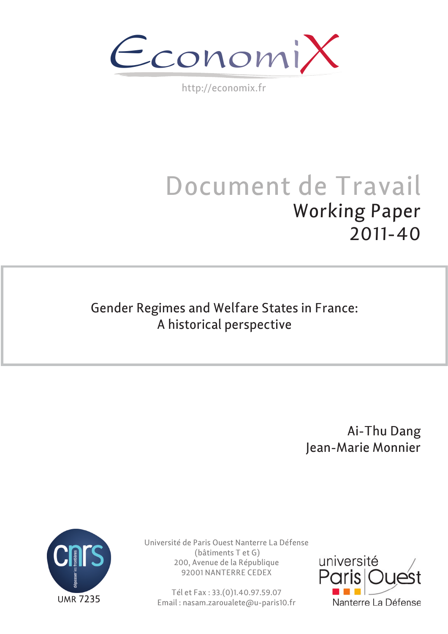$\epsilon$ conomi)

http://economix.fr

# Document de Travail Working Paper 2011-40

# Gender Regimes and Welfare States in France: A historical perspective

 Ai-Thu Dang Jean-Marie Monnier



Université de Paris Ouest Nanterre La Défense (bâtiments T et G) 200, Avenue de la République 92001 NANTERRE CEDEX

Tél et Fax : 33.(0)1.40.97.59.07 Email : nasam.zaroualete@u-paris10.fr

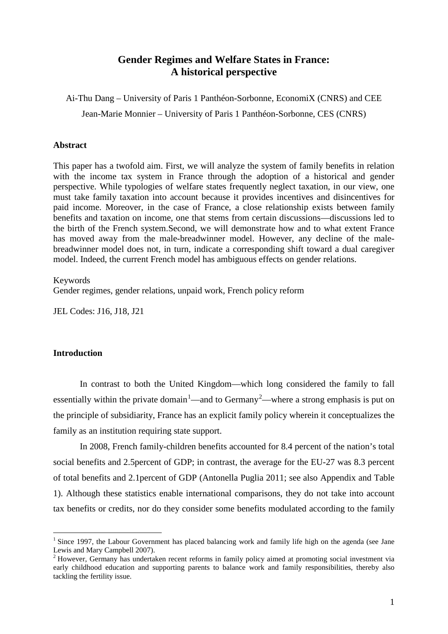#### **Gender Regimes and Welfare States in France: A historical perspective**

Ai-Thu Dang – University of Paris 1 Panthéon-Sorbonne, EconomiX (CNRS) and CEE Jean-Marie Monnier – University of Paris 1 Panthéon-Sorbonne, CES (CNRS)

#### **Abstract**

This paper has a twofold aim. First, we will analyze the system of family benefits in relation with the income tax system in France through the adoption of a historical and gender perspective. While typologies of welfare states frequently neglect taxation, in our view, one must take family taxation into account because it provides incentives and disincentives for paid income. Moreover, in the case of France, a close relationship exists between family benefits and taxation on income, one that stems from certain discussions—discussions led to the birth of the French system.Second, we will demonstrate how and to what extent France has moved away from the male-breadwinner model. However, any decline of the malebreadwinner model does not, in turn, indicate a corresponding shift toward a dual caregiver model. Indeed, the current French model has ambiguous effects on gender relations.

#### Keywords

Gender regimes, gender relations, unpaid work, French policy reform

JEL Codes: J16, J18, J21

#### **Introduction**

In contrast to both the United Kingdom—which long considered the family to fall essentially within the private domain<sup>[1](#page-1-0)</sup>—and to Germany<sup>[2](#page-1-1)</sup>—where a strong emphasis is put on the principle of subsidiarity, France has an explicit family policy wherein it conceptualizes the family as an institution requiring state support.

In 2008, French family-children benefits accounted for 8.4 percent of the nation's total social benefits and 2.5percent of GDP; in contrast, the average for the EU-27 was 8.3 percent of total benefits and 2.1percent of GDP (Antonella Puglia 2011; see also Appendix and Table 1). Although these statistics enable international comparisons, they do not take into account tax benefits or credits, nor do they consider some benefits modulated according to the family

<span id="page-1-0"></span><sup>&</sup>lt;sup>1</sup> Since 1997, the Labour Government has placed balancing work and family life high on the agenda (see Jane Lewis and Mary Campbell 2007).

<span id="page-1-1"></span><sup>&</sup>lt;sup>2</sup> However, Germany has undertaken recent reforms in family policy aimed at promoting social investment via early childhood education and supporting parents to balance work and family responsibilities, thereby also tackling the fertility issue.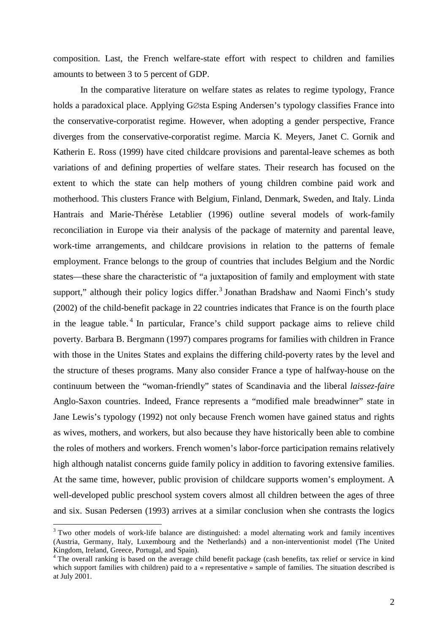composition. Last, the French welfare-state effort with respect to children and families amounts to between 3 to 5 percent of GDP.

In the comparative literature on welfare states as relates to regime typology, France holds a paradoxical place. Applying G∅sta Esping Andersen's typology classifies France into the conservative-corporatist regime. However, when adopting a gender perspective, France diverges from the conservative-corporatist regime. Marcia K. Meyers, Janet C. Gornik and Katherin E. Ross (1999) have cited childcare provisions and parental-leave schemes as both variations of and defining properties of welfare states. Their research has focused on the extent to which the state can help mothers of young children combine paid work and motherhood. This clusters France with Belgium, Finland, Denmark, Sweden, and Italy. Linda Hantrais and Marie-Thérèse Letablier (1996) outline several models of work-family reconciliation in Europe via their analysis of the package of maternity and parental leave, work-time arrangements, and childcare provisions in relation to the patterns of female employment. France belongs to the group of countries that includes Belgium and the Nordic states—these share the characteristic of "a juxtaposition of family and employment with state support," although their policy logics differ. $3$  Jonathan Bradshaw and Naomi Finch's study (2002) of the child-benefit package in 22 countries indicates that France is on the fourth place in the league table.<sup>[4](#page-2-1)</sup> In particular, France's child support package aims to relieve child poverty. Barbara B. Bergmann (1997) compares programs for families with children in France with those in the Unites States and explains the differing child-poverty rates by the level and the structure of theses programs. Many also consider France a type of halfway-house on the continuum between the "woman-friendly" states of Scandinavia and the liberal *laissez-faire* Anglo-Saxon countries. Indeed, France represents a "modified male breadwinner" state in Jane Lewis's typology (1992) not only because French women have gained status and rights as wives, mothers, and workers, but also because they have historically been able to combine the roles of mothers and workers. French women's labor-force participation remains relatively high although natalist concerns guide family policy in addition to favoring extensive families. At the same time, however, public provision of childcare supports women's employment. A well-developed public preschool system covers almost all children between the ages of three and six. Susan Pedersen (1993) arrives at a similar conclusion when she contrasts the logics

<span id="page-2-0"></span><sup>&</sup>lt;sup>3</sup> Two other models of work-life balance are distinguished: a model alternating work and family incentives (Austria, Germany, Italy, Luxembourg and the Netherlands) and a non-interventionist model (The United Kingdom, Ireland, Greece, Portugal, and Spain).

<span id="page-2-1"></span><sup>&</sup>lt;sup>4</sup> The overall ranking is based on the average child benefit package (cash benefits, tax relief or service in kind which support families with children) paid to a « representative » sample of families. The situation described is at July 2001.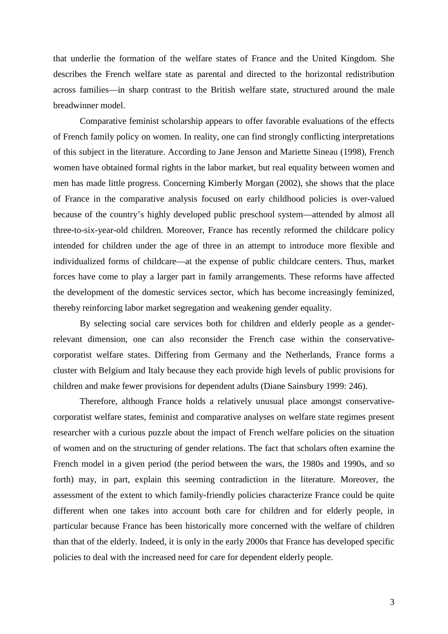that underlie the formation of the welfare states of France and the United Kingdom. She describes the French welfare state as parental and directed to the horizontal redistribution across families—in sharp contrast to the British welfare state, structured around the male breadwinner model.

Comparative feminist scholarship appears to offer favorable evaluations of the effects of French family policy on women. In reality, one can find strongly conflicting interpretations of this subject in the literature. According to Jane Jenson and Mariette Sineau (1998), French women have obtained formal rights in the labor market, but real equality between women and men has made little progress. Concerning Kimberly Morgan (2002), she shows that the place of France in the comparative analysis focused on early childhood policies is over-valued because of the country's highly developed public preschool system—attended by almost all three-to-six-year-old children. Moreover, France has recently reformed the childcare policy intended for children under the age of three in an attempt to introduce more flexible and individualized forms of childcare—at the expense of public childcare centers. Thus, market forces have come to play a larger part in family arrangements. These reforms have affected the development of the domestic services sector, which has become increasingly feminized, thereby reinforcing labor market segregation and weakening gender equality.

By selecting social care services both for children and elderly people as a genderrelevant dimension, one can also reconsider the French case within the conservativecorporatist welfare states. Differing from Germany and the Netherlands, France forms a cluster with Belgium and Italy because they each provide high levels of public provisions for children and make fewer provisions for dependent adults (Diane Sainsbury 1999: 246).

Therefore, although France holds a relatively unusual place amongst conservativecorporatist welfare states, feminist and comparative analyses on welfare state regimes present researcher with a curious puzzle about the impact of French welfare policies on the situation of women and on the structuring of gender relations. The fact that scholars often examine the French model in a given period (the period between the wars, the 1980s and 1990s, and so forth) may, in part, explain this seeming contradiction in the literature. Moreover, the assessment of the extent to which family-friendly policies characterize France could be quite different when one takes into account both care for children and for elderly people, in particular because France has been historically more concerned with the welfare of children than that of the elderly. Indeed, it is only in the early 2000s that France has developed specific policies to deal with the increased need for care for dependent elderly people.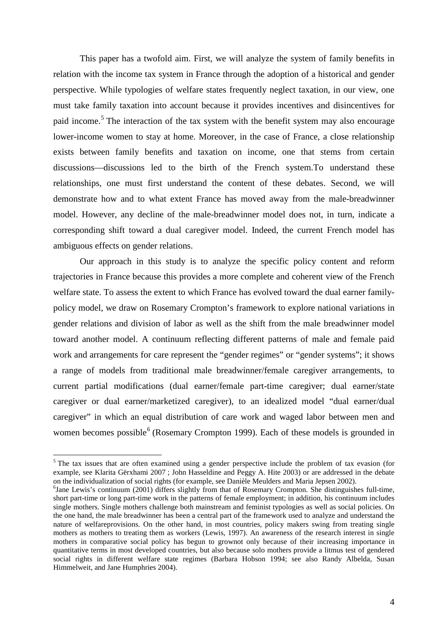This paper has a twofold aim. First, we will analyze the system of family benefits in relation with the income tax system in France through the adoption of a historical and gender perspective. While typologies of welfare states frequently neglect taxation, in our view, one must take family taxation into account because it provides incentives and disincentives for paid income.<sup>[5](#page-4-0)</sup> The interaction of the tax system with the benefit system may also encourage lower-income women to stay at home. Moreover, in the case of France, a close relationship exists between family benefits and taxation on income, one that stems from certain discussions—discussions led to the birth of the French system.To understand these relationships, one must first understand the content of these debates. Second, we will demonstrate how and to what extent France has moved away from the male-breadwinner model. However, any decline of the male-breadwinner model does not, in turn, indicate a corresponding shift toward a dual caregiver model. Indeed, the current French model has ambiguous effects on gender relations.

Our approach in this study is to analyze the specific policy content and reform trajectories in France because this provides a more complete and coherent view of the French welfare state. To assess the extent to which France has evolved toward the dual earner familypolicy model, we draw on Rosemary Crompton's framework to explore national variations in gender relations and division of labor as well as the shift from the male breadwinner model toward another model. A continuum reflecting different patterns of male and female paid work and arrangements for care represent the "gender regimes" or "gender systems"; it shows a range of models from traditional male breadwinner/female caregiver arrangements, to current partial modifications (dual earner/female part-time caregiver; dual earner/state caregiver or dual earner/marketized caregiver), to an idealized model "dual earner/dual caregiver" in which an equal distribution of care work and waged labor between men and women becomes possible<sup>[6](#page-4-1)</sup> (Rosemary Crompton 1999). Each of these models is grounded in

<span id="page-4-0"></span> $<sup>5</sup>$  The tax issues that are often examined using a gender perspective include the problem of tax evasion (for</sup> example, see Klarita Gërxhami 2007 ; John Hasseldine and Peggy A. Hite 2003) or are addressed in the debate on the individualization of social rights (for example, see Danièle Meulders and Maria Jepsen 2002). 6

<span id="page-4-1"></span> ${}^{6}$ Jane Lewis's continuum (2001) differs slightly from that of Rosemary Crompton. She distinguishes full-time, short part-time or long part-time work in the patterns of female employment; in addition, his continuum includes single mothers. Single mothers challenge both mainstream and feminist typologies as well as social policies. On the one hand, the male breadwinner has been a central part of the framework used to analyze and understand the nature of welfareprovisions. On the other hand, in most countries, policy makers swing from treating single mothers as mothers to treating them as workers (Lewis, 1997). An awareness of the research interest in single mothers in comparative social policy has begun to grownot only because of their increasing importance in quantitative terms in most developed countries, but also because solo mothers provide a litmus test of gendered social rights in different welfare state regimes (Barbara Hobson 1994; see also Randy Albelda, Susan Himmelweit, and Jane Humphries 2004).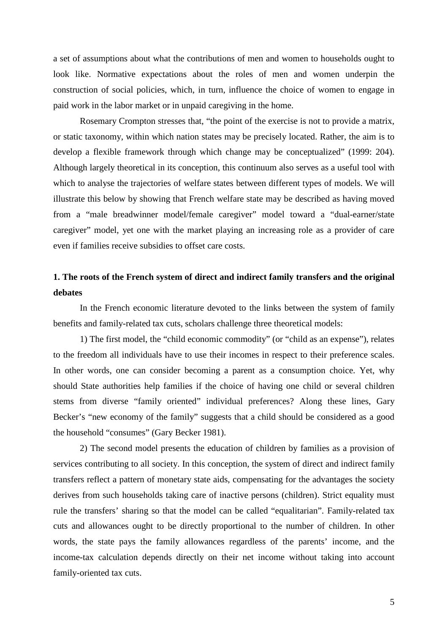a set of assumptions about what the contributions of men and women to households ought to look like. Normative expectations about the roles of men and women underpin the construction of social policies, which, in turn, influence the choice of women to engage in paid work in the labor market or in unpaid caregiving in the home.

Rosemary Crompton stresses that, "the point of the exercise is not to provide a matrix, or static taxonomy, within which nation states may be precisely located. Rather, the aim is to develop a flexible framework through which change may be conceptualized" (1999: 204). Although largely theoretical in its conception, this continuum also serves as a useful tool with which to analyse the trajectories of welfare states between different types of models. We will illustrate this below by showing that French welfare state may be described as having moved from a "male breadwinner model/female caregiver" model toward a "dual-earner/state caregiver" model, yet one with the market playing an increasing role as a provider of care even if families receive subsidies to offset care costs.

## **1. The roots of the French system of direct and indirect family transfers and the original debates**

In the French economic literature devoted to the links between the system of family benefits and family-related tax cuts, scholars challenge three theoretical models:

1) The first model, the "child economic commodity" (or "child as an expense"), relates to the freedom all individuals have to use their incomes in respect to their preference scales. In other words, one can consider becoming a parent as a consumption choice. Yet, why should State authorities help families if the choice of having one child or several children stems from diverse "family oriented" individual preferences? Along these lines, Gary Becker's "new economy of the family" suggests that a child should be considered as a good the household "consumes" (Gary Becker 1981).

2) The second model presents the education of children by families as a provision of services contributing to all society. In this conception, the system of direct and indirect family transfers reflect a pattern of monetary state aids, compensating for the advantages the society derives from such households taking care of inactive persons (children). Strict equality must rule the transfers' sharing so that the model can be called "equalitarian". Family-related tax cuts and allowances ought to be directly proportional to the number of children. In other words, the state pays the family allowances regardless of the parents' income, and the income-tax calculation depends directly on their net income without taking into account family-oriented tax cuts.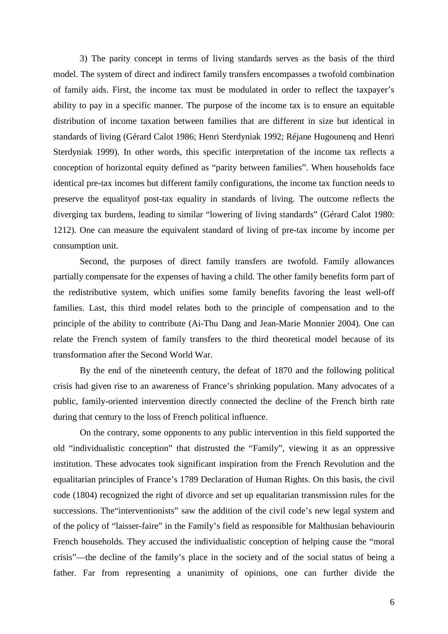3) The parity concept in terms of living standards serves as the basis of the third model. The system of direct and indirect family transfers encompasses a twofold combination of family aids. First, the income tax must be modulated in order to reflect the taxpayer's ability to pay in a specific manner. The purpose of the income tax is to ensure an equitable distribution of income taxation between families that are different in size but identical in standards of living (Gérard Calot 1986; Henri Sterdyniak 1992; Réjane Hugounenq and Henri Sterdyniak 1999). In other words, this specific interpretation of the income tax reflects a conception of horizontal equity defined as "parity between families". When households face identical pre-tax incomes but different family configurations, the income tax function needs to preserve the equalityof post-tax equality in standards of living. The outcome reflects the diverging tax burdens, leading to similar "lowering of living standards" (Gérard Calot 1980: 1212). One can measure the equivalent standard of living of pre-tax income by income per consumption unit.

Second, the purposes of direct family transfers are twofold. Family allowances partially compensate for the expenses of having a child. The other family benefits form part of the redistributive system, which unifies some family benefits favoring the least well-off families. Last, this third model relates both to the principle of compensation and to the principle of the ability to contribute (Ai-Thu Dang and Jean-Marie Monnier 2004). One can relate the French system of family transfers to the third theoretical model because of its transformation after the Second World War.

By the end of the nineteenth century, the defeat of 1870 and the following political crisis had given rise to an awareness of France's shrinking population. Many advocates of a public, family-oriented intervention directly connected the decline of the French birth rate during that century to the loss of French political influence.

On the contrary, some opponents to any public intervention in this field supported the old "individualistic conception" that distrusted the "Family", viewing it as an oppressive institution. These advocates took significant inspiration from the French Revolution and the equalitarian principles of France's 1789 Declaration of Human Rights. On this basis, the civil code (1804) recognized the right of divorce and set up equalitarian transmission rules for the successions. The"interventionists" saw the addition of the civil code's new legal system and of the policy of "laisser-faire" in the Family's field as responsible for Malthusian behaviourin French households. They accused the individualistic conception of helping cause the "moral crisis"—the decline of the family's place in the society and of the social status of being a father. Far from representing a unanimity of opinions, one can further divide the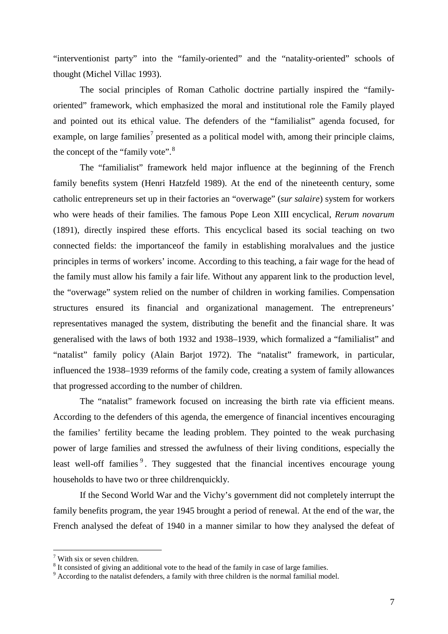"interventionist party" into the "family-oriented" and the "natality-oriented" schools of thought (Michel Villac 1993).

The social principles of Roman Catholic doctrine partially inspired the "familyoriented" framework, which emphasized the moral and institutional role the Family played and pointed out its ethical value. The defenders of the "familialist" agenda focused, for example, on large families<sup>[7](#page-7-0)</sup> presented as a political model with, among their principle claims, the concept of the "family vote".<sup>[8](#page-7-1)</sup>

The "familialist" framework held major influence at the beginning of the French family benefits system (Henri Hatzfeld 1989). At the end of the nineteenth century, some catholic entrepreneurs set up in their factories an "overwage" (*sur salaire*) system for workers who were heads of their families. The famous Pope Leon XIII encyclical, *Rerum novarum* (1891), directly inspired these efforts. This encyclical based its social teaching on two connected fields: the importanceof the family in establishing moralvalues and the justice principles in terms of workers' income. According to this teaching, a fair wage for the head of the family must allow his family a fair life. Without any apparent link to the production level, the "overwage" system relied on the number of children in working families. Compensation structures ensured its financial and organizational management. The entrepreneurs' representatives managed the system, distributing the benefit and the financial share. It was generalised with the laws of both 1932 and 1938–1939, which formalized a "familialist" and "natalist" family policy (Alain Barjot 1972). The "natalist" framework, in particular, influenced the 1938–1939 reforms of the family code, creating a system of family allowances that progressed according to the number of children.

The "natalist" framework focused on increasing the birth rate via efficient means. According to the defenders of this agenda, the emergence of financial incentives encouraging the families' fertility became the leading problem. They pointed to the weak purchasing power of large families and stressed the awfulness of their living conditions, especially the least well-off families<sup>[9](#page-7-2)</sup>. They suggested that the financial incentives encourage young households to have two or three childrenquickly.

If the Second World War and the Vichy's government did not completely interrupt the family benefits program, the year 1945 brought a period of renewal. At the end of the war, the French analysed the defeat of 1940 in a manner similar to how they analysed the defeat of

<span id="page-7-0"></span> $7$  With six or seven children.

<span id="page-7-1"></span><sup>&</sup>lt;sup>8</sup> It consisted of giving an additional vote to the head of the family in case of large families.

<span id="page-7-2"></span> $9$  According to the natalist defenders, a family with three children is the normal familial model.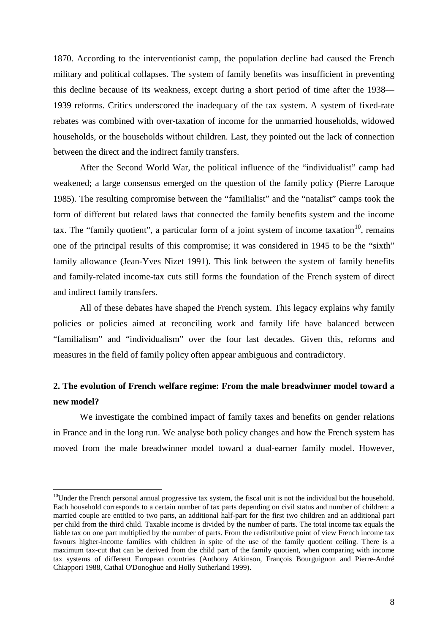1870. According to the interventionist camp, the population decline had caused the French military and political collapses. The system of family benefits was insufficient in preventing this decline because of its weakness, except during a short period of time after the 1938— 1939 reforms. Critics underscored the inadequacy of the tax system. A system of fixed-rate rebates was combined with over-taxation of income for the unmarried households, widowed households, or the households without children. Last, they pointed out the lack of connection between the direct and the indirect family transfers.

After the Second World War, the political influence of the "individualist" camp had weakened; a large consensus emerged on the question of the family policy (Pierre Laroque 1985). The resulting compromise between the "familialist" and the "natalist" camps took the form of different but related laws that connected the family benefits system and the income tax. The "family quotient", a particular form of a joint system of income taxation $10$ , remains one of the principal results of this compromise; it was considered in 1945 to be the "sixth" family allowance (Jean-Yves Nizet 1991). This link between the system of family benefits and family-related income-tax cuts still forms the foundation of the French system of direct and indirect family transfers.

All of these debates have shaped the French system. This legacy explains why family policies or policies aimed at reconciling work and family life have balanced between "familialism" and "individualism" over the four last decades. Given this, reforms and measures in the field of family policy often appear ambiguous and contradictory.

### **2. The evolution of French welfare regime: From the male breadwinner model toward a new model?**

We investigate the combined impact of family taxes and benefits on gender relations in France and in the long run. We analyse both policy changes and how the French system has moved from the male breadwinner model toward a dual-earner family model. However,

<span id="page-8-0"></span> $10$ Under the French personal annual progressive tax system, the fiscal unit is not the individual but the household. Each household corresponds to a certain number of tax parts depending on civil status and number of children: a married couple are entitled to two parts, an additional half-part for the first two children and an additional part per child from the third child. Taxable income is divided by the number of parts. The total income tax equals the liable tax on one part multiplied by the number of parts. From the redistributive point of view French income tax favours higher-income families with children in spite of the use of the family quotient ceiling. There is a maximum tax-cut that can be derived from the child part of the family quotient, when comparing with income tax systems of different European countries (Anthony Atkinson, François Bourguignon and Pierre-André Chiappori 1988, Cathal O'Donoghue and Holly Sutherland 1999).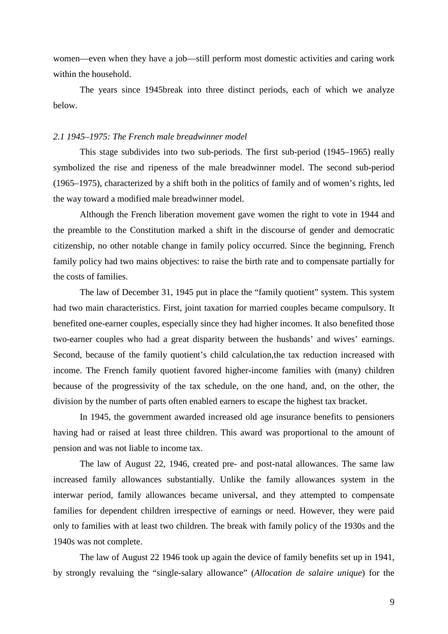women—even when they have a job—still perform most domestic activities and caring work within the household.

The years since 1945break into three distinct periods, each of which we analyze below.

#### *2.1 1945–1975: The French male breadwinner model*

This stage subdivides into two sub-periods. The first sub-period (1945*–*1965) really symbolized the rise and ripeness of the male breadwinner model. The second sub-period (1965*–*1975), characterized by a shift both in the politics of family and of women's rights, led the way toward a modified male breadwinner model.

Although the French liberation movement gave women the right to vote in 1944 and the preamble to the Constitution marked a shift in the discourse of gender and democratic citizenship, no other notable change in family policy occurred. Since the beginning, French family policy had two mains objectives: to raise the birth rate and to compensate partially for the costs of families.

The law of December 31, 1945 put in place the "family quotient" system. This system had two main characteristics. First, joint taxation for married couples became compulsory. It benefited one-earner couples, especially since they had higher incomes. It also benefited those two-earner couples who had a great disparity between the husbands' and wives' earnings. Second, because of the family quotient's child calculation,the tax reduction increased with income. The French family quotient favored higher-income families with (many) children because of the progressivity of the tax schedule, on the one hand, and, on the other, the division by the number of parts often enabled earners to escape the highest tax bracket.

In 1945, the government awarded increased old age insurance benefits to pensioners having had or raised at least three children. This award was proportional to the amount of pension and was not liable to income tax.

The law of August 22, 1946, created pre- and post-natal allowances. The same law increased family allowances substantially. Unlike the family allowances system in the interwar period, family allowances became universal, and they attempted to compensate families for dependent children irrespective of earnings or need. However, they were paid only to families with at least two children. The break with family policy of the 1930s and the 1940s was not complete.

The law of August 22 1946 took up again the device of family benefits set up in 1941, by strongly revaluing the "single-salary allowance" (*Allocation de salaire unique*) for the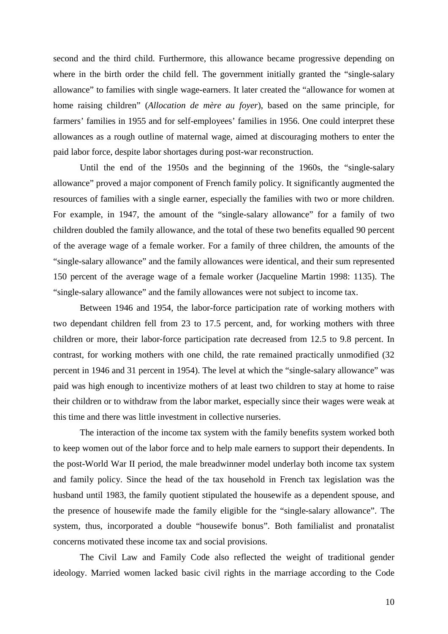second and the third child. Furthermore, this allowance became progressive depending on where in the birth order the child fell. The government initially granted the "single-salary allowance" to families with single wage-earners. It later created the "allowance for women at home raising children" (*Allocation de mère au foyer*), based on the same principle, for farmers' families in 1955 and for self-employees' families in 1956. One could interpret these allowances as a rough outline of maternal wage, aimed at discouraging mothers to enter the paid labor force, despite labor shortages during post-war reconstruction.

Until the end of the 1950s and the beginning of the 1960s, the "single-salary allowance" proved a major component of French family policy. It significantly augmented the resources of families with a single earner, especially the families with two or more children. For example, in 1947, the amount of the "single-salary allowance" for a family of two children doubled the family allowance, and the total of these two benefits equalled 90 percent of the average wage of a female worker. For a family of three children, the amounts of the "single-salary allowance" and the family allowances were identical, and their sum represented 150 percent of the average wage of a female worker (Jacqueline Martin 1998: 1135). The "single-salary allowance" and the family allowances were not subject to income tax.

Between 1946 and 1954, the labor-force participation rate of working mothers with two dependant children fell from 23 to 17.5 percent, and, for working mothers with three children or more, their labor-force participation rate decreased from 12.5 to 9.8 percent. In contrast, for working mothers with one child, the rate remained practically unmodified (32 percent in 1946 and 31 percent in 1954). The level at which the "single-salary allowance" was paid was high enough to incentivize mothers of at least two children to stay at home to raise their children or to withdraw from the labor market, especially since their wages were weak at this time and there was little investment in collective nurseries.

The interaction of the income tax system with the family benefits system worked both to keep women out of the labor force and to help male earners to support their dependents. In the post-World War II period, the male breadwinner model underlay both income tax system and family policy. Since the head of the tax household in French tax legislation was the husband until 1983, the family quotient stipulated the housewife as a dependent spouse, and the presence of housewife made the family eligible for the "single-salary allowance". The system, thus, incorporated a double "housewife bonus". Both familialist and pronatalist concerns motivated these income tax and social provisions.

The Civil Law and Family Code also reflected the weight of traditional gender ideology. Married women lacked basic civil rights in the marriage according to the Code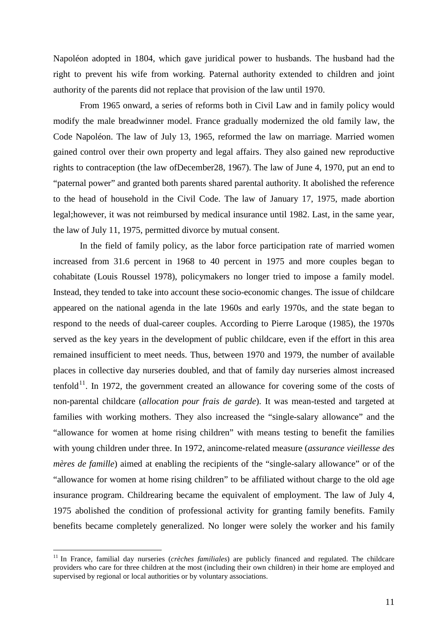Napoléon adopted in 1804, which gave juridical power to husbands. The husband had the right to prevent his wife from working. Paternal authority extended to children and joint authority of the parents did not replace that provision of the law until 1970.

From 1965 onward, a series of reforms both in Civil Law and in family policy would modify the male breadwinner model. France gradually modernized the old family law, the Code Napoléon. The law of July 13, 1965, reformed the law on marriage. Married women gained control over their own property and legal affairs. They also gained new reproductive rights to contraception (the law ofDecember28, 1967). The law of June 4, 1970, put an end to "paternal power" and granted both parents shared parental authority. It abolished the reference to the head of household in the Civil Code. The law of January 17, 1975, made abortion legal;however, it was not reimbursed by medical insurance until 1982. Last, in the same year, the law of July 11, 1975, permitted divorce by mutual consent.

In the field of family policy, as the labor force participation rate of married women increased from 31.6 percent in 1968 to 40 percent in 1975 and more couples began to cohabitate (Louis Roussel 1978), policymakers no longer tried to impose a family model. Instead, they tended to take into account these socio-economic changes. The issue of childcare appeared on the national agenda in the late 1960s and early 1970s, and the state began to respond to the needs of dual-career couples. According to Pierre Laroque (1985), the 1970s served as the key years in the development of public childcare, even if the effort in this area remained insufficient to meet needs. Thus, between 1970 and 1979, the number of available places in collective day nurseries doubled, and that of family day nurseries almost increased tenfold $11$ . In 1972, the government created an allowance for covering some of the costs of non-parental childcare (*allocation pour frais de garde*). It was mean-tested and targeted at families with working mothers. They also increased the "single-salary allowance" and the "allowance for women at home rising children" with means testing to benefit the families with young children under three. In 1972, anincome-related measure (*assurance vieillesse des mères de famille*) aimed at enabling the recipients of the "single-salary allowance" or of the "allowance for women at home rising children" to be affiliated without charge to the old age insurance program. Childrearing became the equivalent of employment. The law of July 4, 1975 abolished the condition of professional activity for granting family benefits. Family benefits became completely generalized. No longer were solely the worker and his family

<span id="page-11-0"></span><sup>&</sup>lt;sup>11</sup> In France, familial day nurseries (*crèches familiales*) are publicly financed and regulated. The childcare providers who care for three children at the most (including their own children) in their home are employed and supervised by regional or local authorities or by voluntary associations.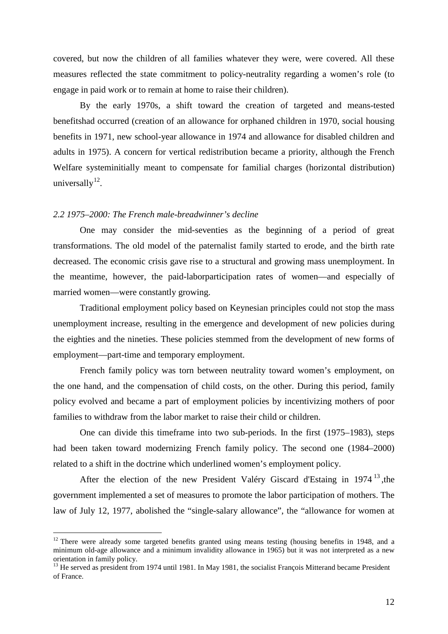covered, but now the children of all families whatever they were, were covered. All these measures reflected the state commitment to policy-neutrality regarding a women's role (to engage in paid work or to remain at home to raise their children).

By the early 1970s, a shift toward the creation of targeted and means-tested benefitshad occurred (creation of an allowance for orphaned children in 1970, social housing benefits in 1971, new school-year allowance in 1974 and allowance for disabled children and adults in 1975). A concern for vertical redistribution became a priority, although the French Welfare systeminitially meant to compensate for familial charges (horizontal distribution) universally $12$ .

#### *2.2 1975–2000: The French male-breadwinner's decline*

One may consider the mid-seventies as the beginning of a period of great transformations. The old model of the paternalist family started to erode, and the birth rate decreased. The economic crisis gave rise to a structural and growing mass unemployment. In the meantime, however, the paid-laborparticipation rates of women—and especially of married women—were constantly growing.

Traditional employment policy based on Keynesian principles could not stop the mass unemployment increase, resulting in the emergence and development of new policies during the eighties and the nineties. These policies stemmed from the development of new forms of employment—part-time and temporary employment.

French family policy was torn between neutrality toward women's employment, on the one hand, and the compensation of child costs, on the other. During this period, family policy evolved and became a part of employment policies by incentivizing mothers of poor families to withdraw from the labor market to raise their child or children.

One can divide this timeframe into two sub-periods. In the first (1975*–*1983), steps had been taken toward modernizing French family policy. The second one (1984*–*2000) related to a shift in the doctrine which underlined women's employment policy.

After the election of the new President Valéry Giscard d'Estaing in 1974<sup>[13](#page-12-1)</sup>, the government implemented a set of measures to promote the labor participation of mothers. The law of July 12, 1977, abolished the "single-salary allowance", the "allowance for women at

<span id="page-12-0"></span> $12$  There were already some targeted benefits granted using means testing (housing benefits in 1948, and a minimum old-age allowance and a minimum invalidity allowance in 1965) but it was not interpreted as a new orientation in family policy.

<span id="page-12-1"></span><sup>&</sup>lt;sup>13</sup> He served as president from 1974 until 1981. In May 1981, the socialist François Mitterand became President of France.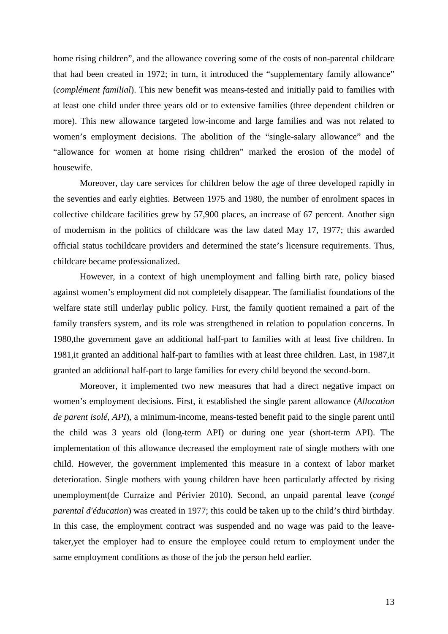home rising children", and the allowance covering some of the costs of non-parental childcare that had been created in 1972; in turn, it introduced the "supplementary family allowance" (*complément familial*). This new benefit was means-tested and initially paid to families with at least one child under three years old or to extensive families (three dependent children or more). This new allowance targeted low-income and large families and was not related to women's employment decisions. The abolition of the "single-salary allowance" and the "allowance for women at home rising children" marked the erosion of the model of housewife.

Moreover, day care services for children below the age of three developed rapidly in the seventies and early eighties. Between 1975 and 1980, the number of enrolment spaces in collective childcare facilities grew by 57,900 places, an increase of 67 percent. Another sign of modernism in the politics of childcare was the law dated May 17, 1977; this awarded official status tochildcare providers and determined the state's licensure requirements. Thus, childcare became professionalized.

However, in a context of high unemployment and falling birth rate, policy biased against women's employment did not completely disappear. The familialist foundations of the welfare state still underlay public policy. First, the family quotient remained a part of the family transfers system, and its role was strengthened in relation to population concerns. In 1980,the government gave an additional half-part to families with at least five children. In 1981,it granted an additional half-part to families with at least three children. Last, in 1987,it granted an additional half-part to large families for every child beyond the second-born.

Moreover, it implemented two new measures that had a direct negative impact on women's employment decisions. First, it established the single parent allowance (*Allocation de parent isolé, API*), a minimum-income, means-tested benefit paid to the single parent until the child was 3 years old (long-term API) or during one year (short-term API). The implementation of this allowance decreased the employment rate of single mothers with one child. However, the government implemented this measure in a context of labor market deterioration. Single mothers with young children have been particularly affected by rising unemployment(de Curraize and Périvier 2010). Second, an unpaid parental leave (*congé parental d'éducation*) was created in 1977; this could be taken up to the child's third birthday. In this case, the employment contract was suspended and no wage was paid to the leavetaker,yet the employer had to ensure the employee could return to employment under the same employment conditions as those of the job the person held earlier.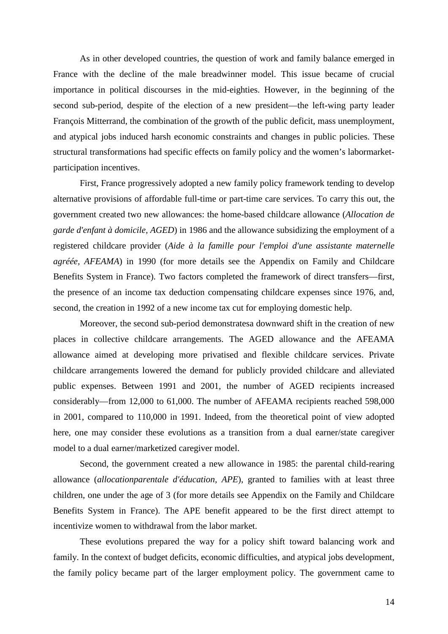As in other developed countries, the question of work and family balance emerged in France with the decline of the male breadwinner model. This issue became of crucial importance in political discourses in the mid-eighties. However, in the beginning of the second sub-period, despite of the election of a new president—the left-wing party leader François Mitterrand, the combination of the growth of the public deficit, mass unemployment, and atypical jobs induced harsh economic constraints and changes in public policies. These structural transformations had specific effects on family policy and the women's labormarketparticipation incentives.

First, France progressively adopted a new family policy framework tending to develop alternative provisions of affordable full-time or part-time care services. To carry this out, the government created two new allowances: the home-based childcare allowance (*Allocation de garde d'enfant à domicile, AGED*) in 1986 and the allowance subsidizing the employment of a registered childcare provider (*Aide à la famille pour l'emploi d'une assistante maternelle agréée, AFEAMA*) in 1990 (for more details see the Appendix on Family and Childcare Benefits System in France). Two factors completed the framework of direct transfers—first, the presence of an income tax deduction compensating childcare expenses since 1976, and, second, the creation in 1992 of a new income tax cut for employing domestic help.

Moreover, the second sub-period demonstratesa downward shift in the creation of new places in collective childcare arrangements. The AGED allowance and the AFEAMA allowance aimed at developing more privatised and flexible childcare services. Private childcare arrangements lowered the demand for publicly provided childcare and alleviated public expenses. Between 1991 and 2001, the number of AGED recipients increased considerably—from 12,000 to 61,000. The number of AFEAMA recipients reached 598,000 in 2001, compared to 110,000 in 1991. Indeed, from the theoretical point of view adopted here, one may consider these evolutions as a transition from a dual earner/state caregiver model to a dual earner/marketized caregiver model.

Second, the government created a new allowance in 1985: the parental child-rearing allowance (*allocationparentale d'éducation, APE*), granted to families with at least three children, one under the age of 3 (for more details see Appendix on the Family and Childcare Benefits System in France). The APE benefit appeared to be the first direct attempt to incentivize women to withdrawal from the labor market.

These evolutions prepared the way for a policy shift toward balancing work and family. In the context of budget deficits, economic difficulties, and atypical jobs development, the family policy became part of the larger employment policy. The government came to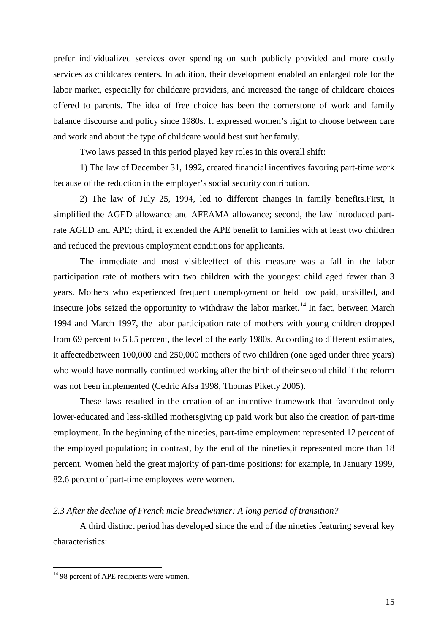prefer individualized services over spending on such publicly provided and more costly services as childcares centers. In addition, their development enabled an enlarged role for the labor market, especially for childcare providers, and increased the range of childcare choices offered to parents. The idea of free choice has been the cornerstone of work and family balance discourse and policy since 1980s. It expressed women's right to choose between care and work and about the type of childcare would best suit her family.

Two laws passed in this period played key roles in this overall shift:

1) The law of December 31, 1992, created financial incentives favoring part-time work because of the reduction in the employer's social security contribution.

2) The law of July 25, 1994, led to different changes in family benefits.First, it simplified the AGED allowance and AFEAMA allowance; second, the law introduced partrate AGED and APE; third, it extended the APE benefit to families with at least two children and reduced the previous employment conditions for applicants.

The immediate and most visibleeffect of this measure was a fall in the labor participation rate of mothers with two children with the youngest child aged fewer than 3 years. Mothers who experienced frequent unemployment or held low paid, unskilled, and insecure jobs seized the opportunity to withdraw the labor market.<sup>[14](#page-15-0)</sup> In fact, between March 1994 and March 1997, the labor participation rate of mothers with young children dropped from 69 percent to 53.5 percent, the level of the early 1980s. According to different estimates, it affectedbetween 100,000 and 250,000 mothers of two children (one aged under three years) who would have normally continued working after the birth of their second child if the reform was not been implemented (Cedric Afsa 1998, Thomas Piketty 2005).

These laws resulted in the creation of an incentive framework that favorednot only lower-educated and less-skilled mothersgiving up paid work but also the creation of part-time employment. In the beginning of the nineties, part-time employment represented 12 percent of the employed population; in contrast, by the end of the nineties,it represented more than 18 percent. Women held the great majority of part-time positions: for example, in January 1999, 82.6 percent of part-time employees were women.

#### *2.3 After the decline of French male breadwinner: A long period of transition?*

A third distinct period has developed since the end of the nineties featuring several key characteristics:

<span id="page-15-0"></span><sup>&</sup>lt;sup>14</sup> 98 percent of APE recipients were women.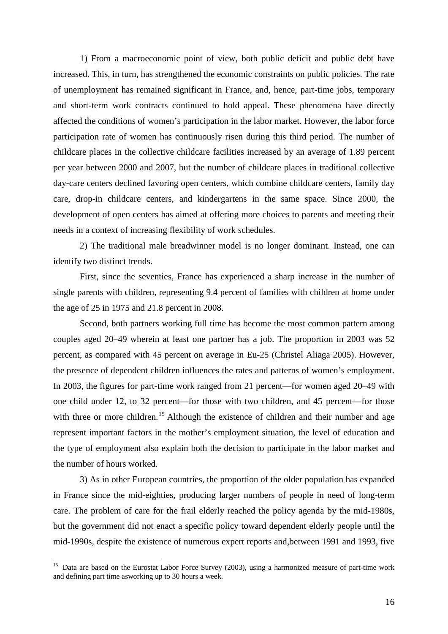1) From a macroeconomic point of view, both public deficit and public debt have increased. This, in turn, has strengthened the economic constraints on public policies. The rate of unemployment has remained significant in France, and, hence, part-time jobs, temporary and short-term work contracts continued to hold appeal. These phenomena have directly affected the conditions of women's participation in the labor market. However, the labor force participation rate of women has continuously risen during this third period. The number of childcare places in the collective childcare facilities increased by an average of 1.89 percent per year between 2000 and 2007, but the number of childcare places in traditional collective day-care centers declined favoring open centers, which combine childcare centers, family day care, drop-in childcare centers, and kindergartens in the same space. Since 2000, the development of open centers has aimed at offering more choices to parents and meeting their needs in a context of increasing flexibility of work schedules.

2) The traditional male breadwinner model is no longer dominant. Instead, one can identify two distinct trends.

First, since the seventies, France has experienced a sharp increase in the number of single parents with children, representing 9.4 percent of families with children at home under the age of 25 in 1975 and 21.8 percent in 2008.

Second, both partners working full time has become the most common pattern among couples aged 20–49 wherein at least one partner has a job. The proportion in 2003 was 52 percent, as compared with 45 percent on average in Eu-25 (Christel Aliaga 2005). However, the presence of dependent children influences the rates and patterns of women's employment. In 2003, the figures for part-time work ranged from 21 percent—for women aged 20–49 with one child under 12, to 32 percent—for those with two children, and 45 percent—for those with three or more children.<sup>[15](#page-16-0)</sup> Although the existence of children and their number and age represent important factors in the mother's employment situation, the level of education and the type of employment also explain both the decision to participate in the labor market and the number of hours worked.

3) As in other European countries, the proportion of the older population has expanded in France since the mid-eighties, producing larger numbers of people in need of long-term care. The problem of care for the frail elderly reached the policy agenda by the mid-1980s, but the government did not enact a specific policy toward dependent elderly people until the mid-1990s, despite the existence of numerous expert reports and,between 1991 and 1993, five

<span id="page-16-0"></span><sup>&</sup>lt;sup>15</sup> Data are based on the Eurostat Labor Force Survey (2003), using a harmonized measure of part-time work and defining part time asworking up to 30 hours a week.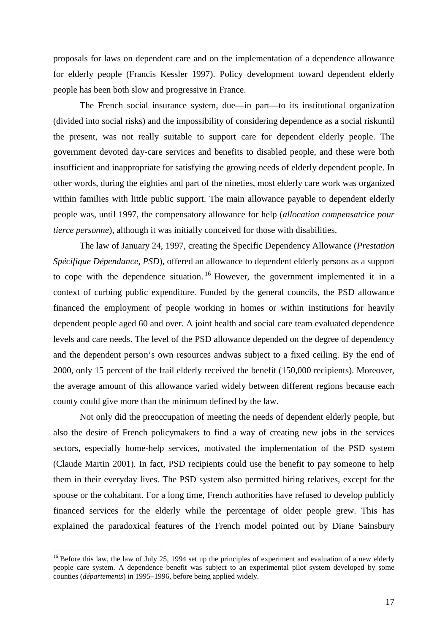proposals for laws on dependent care and on the implementation of a dependence allowance for elderly people (Francis Kessler 1997). Policy development toward dependent elderly people has been both slow and progressive in France.

The French social insurance system, due—in part—to its institutional organization (divided into social risks) and the impossibility of considering dependence as a social riskuntil the present, was not really suitable to support care for dependent elderly people. The government devoted day-care services and benefits to disabled people, and these were both insufficient and inappropriate for satisfying the growing needs of elderly dependent people. In other words, during the eighties and part of the nineties, most elderly care work was organized within families with little public support. The main allowance payable to dependent elderly people was, until 1997, the compensatory allowance for help (*allocation compensatrice pour tierce personne*), although it was initially conceived for those with disabilities.

The law of January 24, 1997, creating the Specific Dependency Allowance (*Prestation Spécifique Dépendance, PSD*), offered an allowance to dependent elderly persons as a support to cope with the dependence situation.<sup>[16](#page-17-0)</sup> However, the government implemented it in a context of curbing public expenditure. Funded by the general councils, the PSD allowance financed the employment of people working in homes or within institutions for heavily dependent people aged 60 and over. A joint health and social care team evaluated dependence levels and care needs. The level of the PSD allowance depended on the degree of dependency and the dependent person's own resources andwas subject to a fixed ceiling. By the end of 2000, only 15 percent of the frail elderly received the benefit (150,000 recipients). Moreover, the average amount of this allowance varied widely between different regions because each county could give more than the minimum defined by the law.

Not only did the preoccupation of meeting the needs of dependent elderly people, but also the desire of French policymakers to find a way of creating new jobs in the services sectors, especially home-help services, motivated the implementation of the PSD system (Claude Martin 2001). In fact, PSD recipients could use the benefit to pay someone to help them in their everyday lives. The PSD system also permitted hiring relatives, except for the spouse or the cohabitant. For a long time, French authorities have refused to develop publicly financed services for the elderly while the percentage of older people grew. This has explained the paradoxical features of the French model pointed out by Diane Sainsbury

<span id="page-17-0"></span><sup>&</sup>lt;sup>16</sup> Before this law, the law of July 25, 1994 set up the principles of experiment and evaluation of a new elderly people care system. A dependence benefit was subject to an experimental pilot system developed by some counties (*départements*) in 1995–1996, before being applied widely.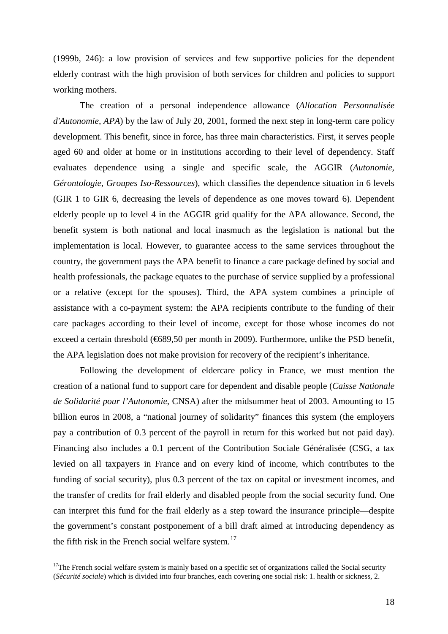(1999b, 246): a low provision of services and few supportive policies for the dependent elderly contrast with the high provision of both services for children and policies to support working mothers.

The creation of a personal independence allowance (*Allocation Personnalisée d'Autonomie, APA*) by the law of July 20, 2001, formed the next step in long-term care policy development. This benefit, since in force, has three main characteristics. First, it serves people aged 60 and older at home or in institutions according to their level of dependency. Staff evaluates dependence using a single and specific scale, the AGGIR (*Autonomie, Gérontologie, Groupes Iso-Ressources*), which classifies the dependence situation in 6 levels (GIR 1 to GIR 6, decreasing the levels of dependence as one moves toward 6). Dependent elderly people up to level 4 in the AGGIR grid qualify for the APA allowance. Second, the benefit system is both national and local inasmuch as the legislation is national but the implementation is local. However, to guarantee access to the same services throughout the country, the government pays the APA benefit to finance a care package defined by social and health professionals, the package equates to the purchase of service supplied by a professional or a relative (except for the spouses). Third, the APA system combines a principle of assistance with a co-payment system: the APA recipients contribute to the funding of their care packages according to their level of income, except for those whose incomes do not exceed a certain threshold (€689,50 per month in 2009). Furthermore, unlike the PSD benefit, the APA legislation does not make provision for recovery of the recipient's inheritance.

Following the development of eldercare policy in France, we must mention the creation of a national fund to support care for dependent and disable people (*Caisse Nationale de Solidarité pour l'Autonomie*, CNSA) after the midsummer heat of 2003. Amounting to 15 billion euros in 2008, a "national journey of solidarity" finances this system (the employers pay a contribution of 0.3 percent of the payroll in return for this worked but not paid day). Financing also includes a 0.1 percent of the Contribution Sociale Généralisée (CSG, a tax levied on all taxpayers in France and on every kind of income, which contributes to the funding of social security), plus 0.3 percent of the tax on capital or investment incomes, and the transfer of credits for frail elderly and disabled people from the social security fund. One can interpret this fund for the frail elderly as a step toward the insurance principle—despite the government's constant postponement of a bill draft aimed at introducing dependency as the fifth risk in the French social welfare system. $17$ 

<span id="page-18-0"></span> $17$ The French social welfare system is mainly based on a specific set of organizations called the Social security (*Sécurité sociale*) which is divided into four branches, each covering one social risk: 1. health or sickness, 2.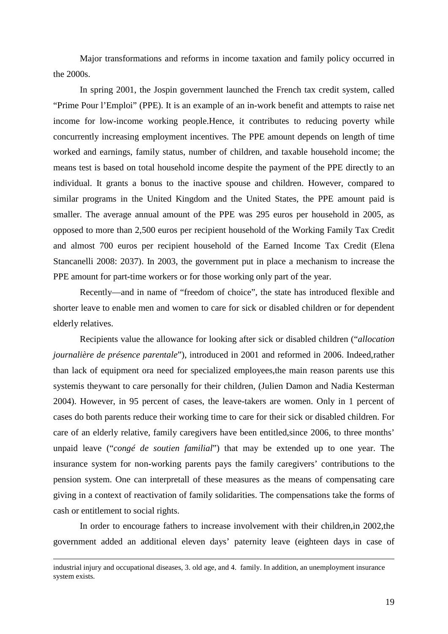Major transformations and reforms in income taxation and family policy occurred in the 2000s.

In spring 2001, the Jospin government launched the French tax credit system, called "Prime Pour l'Emploi" (PPE). It is an example of an in-work benefit and attempts to raise net income for low-income working people.Hence, it contributes to reducing poverty while concurrently increasing employment incentives. The PPE amount depends on length of time worked and earnings, family status, number of children, and taxable household income; the means test is based on total household income despite the payment of the PPE directly to an individual. It grants a bonus to the inactive spouse and children. However, compared to similar programs in the United Kingdom and the United States, the PPE amount paid is smaller. The average annual amount of the PPE was 295 euros per household in 2005, as opposed to more than 2,500 euros per recipient household of the Working Family Tax Credit and almost 700 euros per recipient household of the Earned Income Tax Credit (Elena Stancanelli 2008: 2037). In 2003, the government put in place a mechanism to increase the PPE amount for part-time workers or for those working only part of the year.

Recently—and in name of "freedom of choice", the state has introduced flexible and shorter leave to enable men and women to care for sick or disabled children or for dependent elderly relatives.

Recipients value the allowance for looking after sick or disabled children ("*allocation journalière de présence parentale*"), introduced in 2001 and reformed in 2006. Indeed,rather than lack of equipment ora need for specialized employees,the main reason parents use this systemis theywant to care personally for their children, (Julien Damon and Nadia Kesterman 2004). However, in 95 percent of cases, the leave-takers are women. Only in 1 percent of cases do both parents reduce their working time to care for their sick or disabled children. For care of an elderly relative, family caregivers have been entitled,since 2006, to three months' unpaid leave ("*congé de soutien familial*") that may be extended up to one year. The insurance system for non-working parents pays the family caregivers' contributions to the pension system. One can interpretall of these measures as the means of compensating care giving in a context of reactivation of family solidarities. The compensations take the forms of cash or entitlement to social rights.

In order to encourage fathers to increase involvement with their children,in 2002,the government added an additional eleven days' paternity leave (eighteen days in case of

-

industrial injury and occupational diseases, 3. old age, and 4. family. In addition, an unemployment insurance system exists.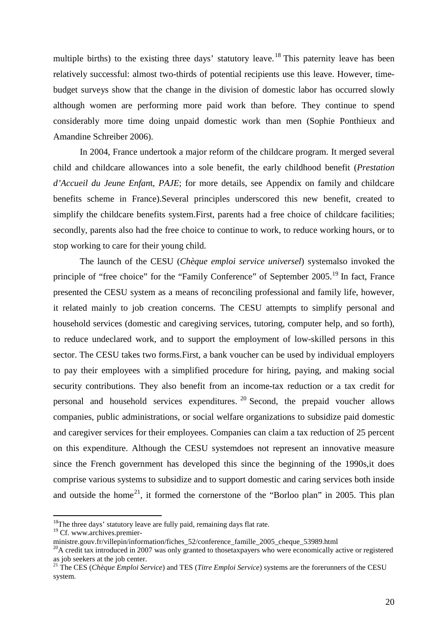multiple births) to the existing three days' statutory leave.<sup>[18](#page-20-0)</sup> This paternity leave has been relatively successful: almost two-thirds of potential recipients use this leave. However, timebudget surveys show that the change in the division of domestic labor has occurred slowly although women are performing more paid work than before. They continue to spend considerably more time doing unpaid domestic work than men (Sophie Ponthieux and Amandine Schreiber 2006).

In 2004, France undertook a major reform of the childcare program. It merged several child and childcare allowances into a sole benefit, the early childhood benefit (*Prestation d'Accueil du Jeune Enfan*t, *PAJE*; for more details, see Appendix on family and childcare benefits scheme in France).Several principles underscored this new benefit, created to simplify the childcare benefits system.First, parents had a free choice of childcare facilities; secondly, parents also had the free choice to continue to work, to reduce working hours, or to stop working to care for their young child.

The launch of the CESU (*Chèque emploi service universel*) systemalso invoked the principle of "free choice" for the "Family Conference" of September 2005.<sup>[19](#page-20-1)</sup> In fact, France presented the CESU system as a means of reconciling professional and family life, however, it related mainly to job creation concerns. The CESU attempts to simplify personal and household services (domestic and caregiving services, tutoring, computer help, and so forth), to reduce undeclared work, and to support the employment of low-skilled persons in this sector. The CESU takes two forms.First, a bank voucher can be used by individual employers to pay their employees with a simplified procedure for hiring, paying, and making social security contributions. They also benefit from an income-tax reduction or a tax credit for personal and household services expenditures. [20](#page-20-2) Second, the prepaid voucher allows companies, public administrations, or social welfare organizations to subsidize paid domestic and caregiver services for their employees. Companies can claim a tax reduction of 25 percent on this expenditure. Although the CESU systemdoes not represent an innovative measure since the French government has developed this since the beginning of the 1990s,it does comprise various systems to subsidize and to support domestic and caring services both inside and outside the home<sup>[21](#page-20-3)</sup>, it formed the cornerstone of the "Borloo plan" in 2005. This plan

<span id="page-20-0"></span> $18$ <sup>18</sup>The three days' statutory leave are fully paid, remaining days flat rate.

<span id="page-20-1"></span><sup>&</sup>lt;sup>19</sup> Cf. www.archives.premier-

ministre.gouv.fr/villepin/information/fiches\_52/conference\_famille\_2005\_cheque\_53989.html

<span id="page-20-2"></span> $^{20}$ A credit tax introduced in 2007 was only granted to thosetaxpayers who were economically active or registered as iob seekers at the iob center.

<span id="page-20-3"></span><sup>&</sup>lt;sup>21</sup> The CES (*Chèque Emploi Service*) and TES (*Titre Emploi Service*) systems are the forerunners of the CESU system.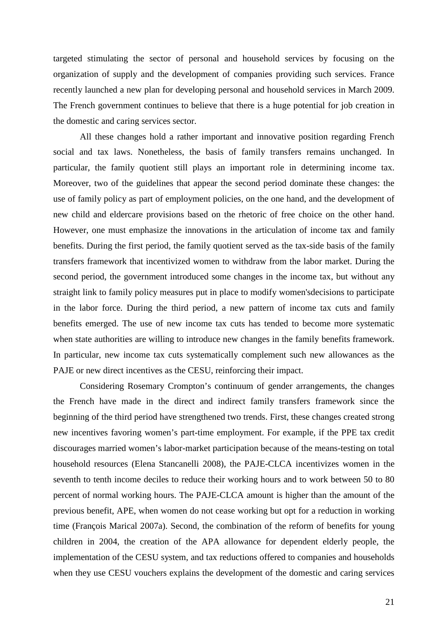targeted stimulating the sector of personal and household services by focusing on the organization of supply and the development of companies providing such services. France recently launched a new plan for developing personal and household services in March 2009. The French government continues to believe that there is a huge potential for job creation in the domestic and caring services sector.

All these changes hold a rather important and innovative position regarding French social and tax laws. Nonetheless, the basis of family transfers remains unchanged. In particular, the family quotient still plays an important role in determining income tax. Moreover, two of the guidelines that appear the second period dominate these changes: the use of family policy as part of employment policies, on the one hand, and the development of new child and eldercare provisions based on the rhetoric of free choice on the other hand. However, one must emphasize the innovations in the articulation of income tax and family benefits. During the first period, the family quotient served as the tax-side basis of the family transfers framework that incentivized women to withdraw from the labor market. During the second period, the government introduced some changes in the income tax, but without any straight link to family policy measures put in place to modify women'sdecisions to participate in the labor force. During the third period, a new pattern of income tax cuts and family benefits emerged. The use of new income tax cuts has tended to become more systematic when state authorities are willing to introduce new changes in the family benefits framework. In particular, new income tax cuts systematically complement such new allowances as the PAJE or new direct incentives as the CESU, reinforcing their impact.

Considering Rosemary Crompton's continuum of gender arrangements, the changes the French have made in the direct and indirect family transfers framework since the beginning of the third period have strengthened two trends. First, these changes created strong new incentives favoring women's part-time employment. For example, if the PPE tax credit discourages married women's labor-market participation because of the means-testing on total household resources (Elena Stancanelli 2008), the PAJE-CLCA incentivizes women in the seventh to tenth income deciles to reduce their working hours and to work between 50 to 80 percent of normal working hours. The PAJE-CLCA amount is higher than the amount of the previous benefit, APE, when women do not cease working but opt for a reduction in working time (François Marical 2007a). Second, the combination of the reform of benefits for young children in 2004, the creation of the APA allowance for dependent elderly people, the implementation of the CESU system, and tax reductions offered to companies and households when they use CESU vouchers explains the development of the domestic and caring services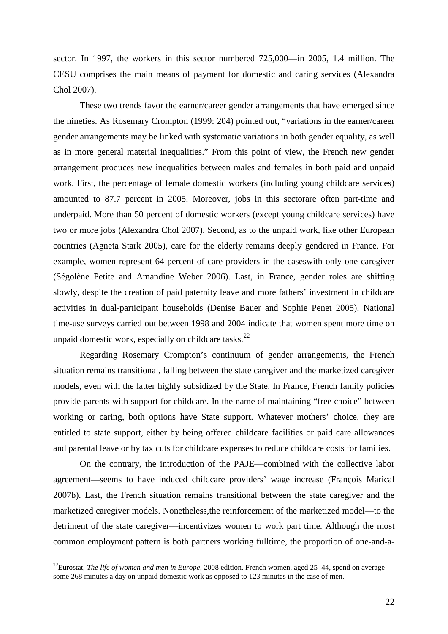sector. In 1997, the workers in this sector numbered 725,000—in 2005, 1.4 million. The CESU comprises the main means of payment for domestic and caring services (Alexandra Chol 2007).

These two trends favor the earner/career gender arrangements that have emerged since the nineties. As Rosemary Crompton (1999: 204) pointed out, "variations in the earner/career gender arrangements may be linked with systematic variations in both gender equality, as well as in more general material inequalities." From this point of view, the French new gender arrangement produces new inequalities between males and females in both paid and unpaid work. First, the percentage of female domestic workers (including young childcare services) amounted to 87.7 percent in 2005. Moreover, jobs in this sectorare often part-time and underpaid. More than 50 percent of domestic workers (except young childcare services) have two or more jobs (Alexandra Chol 2007). Second, as to the unpaid work, like other European countries (Agneta Stark 2005), care for the elderly remains deeply gendered in France. For example, women represent 64 percent of care providers in the caseswith only one caregiver (Ségolène Petite and Amandine Weber 2006). Last, in France, gender roles are shifting slowly, despite the creation of paid paternity leave and more fathers' investment in childcare activities in dual-participant households (Denise Bauer and Sophie Penet 2005). National time-use surveys carried out between 1998 and 2004 indicate that women spent more time on unpaid domestic work, especially on childcare tasks. $^{22}$  $^{22}$  $^{22}$ 

Regarding Rosemary Crompton's continuum of gender arrangements, the French situation remains transitional, falling between the state caregiver and the marketized caregiver models, even with the latter highly subsidized by the State. In France, French family policies provide parents with support for childcare. In the name of maintaining "free choice" between working or caring, both options have State support. Whatever mothers' choice, they are entitled to state support, either by being offered childcare facilities or paid care allowances and parental leave or by tax cuts for childcare expenses to reduce childcare costs for families.

On the contrary, the introduction of the PAJE—combined with the collective labor agreement—seems to have induced childcare providers' wage increase (François Marical 2007b). Last, the French situation remains transitional between the state caregiver and the marketized caregiver models. Nonetheless,the reinforcement of the marketized model—to the detriment of the state caregiver—incentivizes women to work part time. Although the most common employment pattern is both partners working fulltime, the proportion of one-and-a-

<span id="page-22-0"></span><sup>&</sup>lt;sup>22</sup>Eurostat, *The life of women and men in Europe*, 2008 edition. French women, aged 25–44, spend on average some 268 minutes a day on unpaid domestic work as opposed to 123 minutes in the case of men.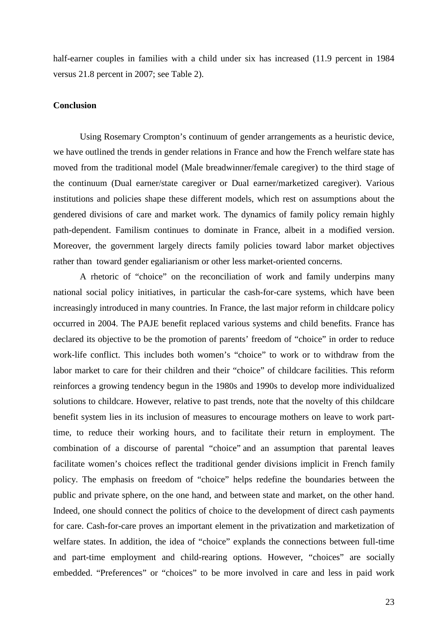half-earner couples in families with a child under six has increased (11.9 percent in 1984 versus 21.8 percent in 2007; see Table 2).

#### **Conclusion**

Using Rosemary Crompton's continuum of gender arrangements as a heuristic device, we have outlined the trends in gender relations in France and how the French welfare state has moved from the traditional model (Male breadwinner/female caregiver) to the third stage of the continuum (Dual earner/state caregiver or Dual earner/marketized caregiver). Various institutions and policies shape these different models, which rest on assumptions about the gendered divisions of care and market work. The dynamics of family policy remain highly path-dependent. Familism continues to dominate in France, albeit in a modified version. Moreover, the government largely directs family policies toward labor market objectives rather than toward gender egaliarianism or other less market-oriented concerns.

A rhetoric of "choice" on the reconciliation of work and family underpins many national social policy initiatives, in particular the cash-for-care systems, which have been increasingly introduced in many countries. In France, the last major reform in childcare policy occurred in 2004. The PAJE benefit replaced various systems and child benefits. France has declared its objective to be the promotion of parents' freedom of "choice" in order to reduce work-life conflict. This includes both women's "choice" to work or to withdraw from the labor market to care for their children and their "choice" of childcare facilities. This reform reinforces a growing tendency begun in the 1980s and 1990s to develop more individualized solutions to childcare. However, relative to past trends, note that the novelty of this childcare benefit system lies in its inclusion of measures to encourage mothers on leave to work parttime, to reduce their working hours, and to facilitate their return in employment. The combination of a discourse of parental "choice" and an assumption that parental leaves facilitate women's choices reflect the traditional gender divisions implicit in French family policy. The emphasis on freedom of "choice" helps redefine the boundaries between the public and private sphere, on the one hand, and between state and market, on the other hand. Indeed, one should connect the politics of choice to the development of direct cash payments for care. Cash-for-care proves an important element in the privatization and marketization of welfare states. In addition, the idea of "choice" explands the connections between full-time and part-time employment and child-rearing options. However, "choices" are socially embedded. "Preferences" or "choices" to be more involved in care and less in paid work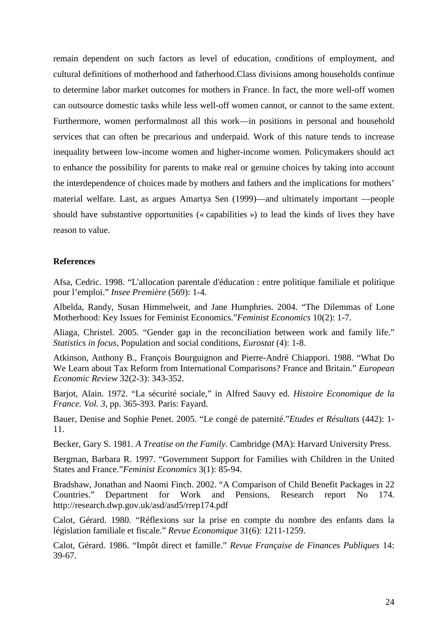remain dependent on such factors as level of education, conditions of employment, and cultural definitions of motherhood and fatherhood.Class divisions among households continue to determine labor market outcomes for mothers in France. In fact, the more well-off women can outsource domestic tasks while less well-off women cannot, or cannot to the same extent. Furthermore, women performalmost all this work—in positions in personal and household services that can often be precarious and underpaid. Work of this nature tends to increase inequality between low-income women and higher-income women. Policymakers should act to enhance the possibility for parents to make real or genuine choices by taking into account the interdependence of choices made by mothers and fathers and the implications for mothers' material welfare. Last, as argues Amartya Sen (1999)—and ultimately important —people should have substantive opportunities (« capabilities ») to lead the kinds of lives they have reason to value.

#### **References**

Afsa, Cedric. 1998. "L'allocation parentale d'éducation : entre politique familiale et politique pour l'emploi." *Insee Première* (569): 1-4.

Albelda, Randy, Susan Himmelweit, and Jane Humphries. 2004. "The Dilemmas of Lone Motherhood: Key Issues for Feminist Economics."*Feminist Economics* 10(2): 1-7.

Aliaga, Christel. 2005. "Gender gap in the reconciliation between work and family life." *Statistics in focus*, Population and social conditions, *Eurostat* (4): 1-8.

Atkinson, Anthony B., François Bourguignon and Pierre-André Chiappori. 1988. "What Do We Learn about Tax Reform from International Comparisons? France and Britain." *European Economic Review* 32(2-3): 343-352.

Barjot, Alain. 1972. "La sécurité sociale," in Alfred Sauvy ed. *Histoire Economique de la France. Vol. 3*, pp. 365-393. Paris: Fayard.

Bauer, Denise and Sophie Penet. 2005. "Le congé de paternité."*Etudes et Résultats* (442): 1- 11.

Becker, Gary S. 1981. *A Treatise on the Family*. Cambridge (MA): Harvard University Press.

Bergman, Barbara R. 1997. "Government Support for Families with Children in the United States and France."*Feminist Economics* 3(1): 85-94.

Bradshaw, Jonathan and Naomi Finch. 2002. "A Comparison of Child Benefit Packages in 22 Countries." Department for Work and Pensions, Research report No 174. http://research.dwp.gov.uk/asd/asd5/rrep174.pdf

Calot, Gérard. 1980. "Réflexions sur la prise en compte du nombre des enfants dans la législation familiale et fiscale." *Revue Economique* 31(6): 1211-1259.

Calot, Gérard. 1986. "Impôt direct et famille." *Revue Française de Finances Publiques* 14: 39-67.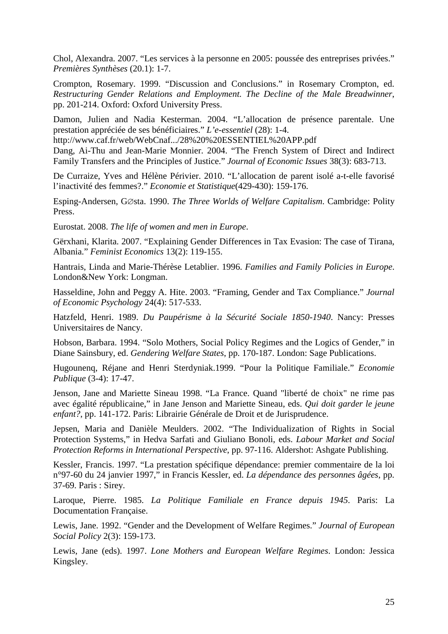Chol, Alexandra. 2007. "Les services à la personne en 2005: poussée des entreprises privées." *Premières Synthèses* (20.1): 1-7.

Crompton, Rosemary. 1999. "Discussion and Conclusions." in Rosemary Crompton, ed. *Restructuring Gender Relations and Employment. The Decline of the Male Breadwinner*, pp. 201-214. Oxford: Oxford University Press.

Damon, Julien and Nadia Kesterman. 2004. "L'allocation de présence parentale. Une prestation appréciée de ses bénéficiaires." *L'e-essentiel* (28): 1-4.

http://www.caf.fr/web/WebCnaf.../28%20%20ESSENTIEL%20APP.pdf

Dang, Ai-Thu and Jean-Marie Monnier. 2004. "The French System of Direct and Indirect Family Transfers and the Principles of Justice." *Journal of Economic Issues* 38(3): 683-713.

De Curraize, Yves and Hélène Périvier. 2010. "L'allocation de parent isolé a-t-elle favorisé l'inactivité des femmes?." *Economie et Statistique*(429-430): 159-176.

Esping-Andersen, G∅sta. 1990. *The Three Worlds of Welfare Capitalism*. Cambridge: Polity Press.

Eurostat. 2008. *The life of women and men in Europe*.

Gërxhani, Klarita. 2007. "Explaining Gender Differences in Tax Evasion: The case of Tirana, Albania." *Feminist Economics* 13(2): 119-155.

Hantrais, Linda and Marie-Thérèse Letablier. 1996. *Families and Family Policies in Europe*. London&New York: Longman.

Hasseldine, John and Peggy A. Hite. 2003. "Framing, Gender and Tax Compliance." *Journal of Economic Psychology* 24(4): 517-533.

Hatzfeld, Henri. 1989. *Du Paupérisme à la Sécurité Sociale 1850-1940*. Nancy: Presses Universitaires de Nancy.

Hobson, Barbara. 1994. "Solo Mothers, Social Policy Regimes and the Logics of Gender," in Diane Sainsbury, ed. *Gendering Welfare States*, pp. 170-187. London: Sage Publications.

Hugounenq, Réjane and Henri Sterdyniak.1999. "Pour la Politique Familiale." *Economie Publique* (3-4): 17-47.

Jenson, Jane and Mariette Sineau 1998. "La France. Quand "liberté de choix" ne rime pas avec égalité républicaine," in Jane Jenson and Mariette Sineau, eds. *Qui doit garder le jeune enfant?*, pp. 141-172. Paris: Librairie Générale de Droit et de Jurisprudence.

Jepsen, Maria and Danièle Meulders. 2002. "The Individualization of Rights in Social Protection Systems," in Hedva Sarfati and Giuliano Bonoli, eds. *Labour Market and Social Protection Reforms in International Perspective*, pp. 97-116. Aldershot: Ashgate Publishing.

Kessler, Francis. 1997. "La prestation spécifique dépendance: premier commentaire de la loi n°97-60 du 24 janvier 1997," in Francis Kessler, ed. *La dépendance des personnes âgées*, pp. 37-69. Paris : Sirey.

Laroque, Pierre. 1985. *La Politique Familiale en France depuis 1945*. Paris: La Documentation Française.

Lewis, Jane. 1992. "Gender and the Development of Welfare Regimes." *Journal of European Social Policy* 2(3): 159-173.

Lewis, Jane (eds). 1997. *Lone Mothers and European Welfare Regimes*. London: Jessica Kingsley.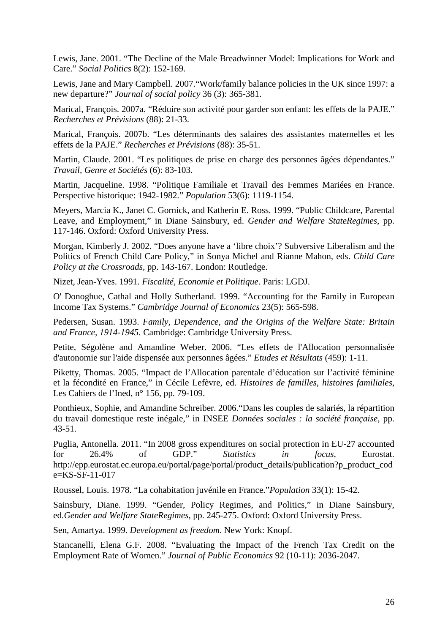Lewis, Jane. 2001. "The Decline of the Male Breadwinner Model: Implications for Work and Care." *Social Politics* 8(2): 152-169.

Lewis, Jane and Mary Campbell. 2007."Work/family balance policies in the UK since 1997: a new departure?" *Journal of social policy* 36 (3): 365-381.

Marical, François. 2007a. "Réduire son activité pour garder son enfant: les effets de la PAJE." *Recherches et Prévisions* (88): 21-33.

Marical, François. 2007b. "Les déterminants des salaires des assistantes maternelles et les effets de la PAJE." *Recherches et Prévisions* (88): 35-51.

Martin, Claude. 2001. "Les politiques de prise en charge des personnes âgées dépendantes." *Travail, Genre et Sociétés* (6): 83-103.

Martin, Jacqueline. 1998. "Politique Familiale et Travail des Femmes Mariées en France. Perspective historique: 1942-1982." *Population* 53(6): 1119-1154.

Meyers, Marcia K., Janet C. Gornick, and Katherin E. Ross. 1999. "Public Childcare, Parental Leave, and Employment," in Diane Sainsbury, ed. *Gender and Welfare StateRegimes*, pp. 117-146. Oxford: Oxford University Press.

Morgan, Kimberly J. 2002. "Does anyone have a 'libre choix'? Subversive Liberalism and the Politics of French Child Care Policy," in Sonya Michel and Rianne Mahon, eds. *Child Care Policy at the Crossroads*, pp. 143-167. London: Routledge.

Nizet, Jean-Yves. 1991. *Fiscalité, Economie et Politique*. Paris: LGDJ.

O' Donoghue, Cathal and Holly Sutherland. 1999. "Accounting for the Family in European Income Tax Systems." *Cambridge Journal of Economics* 23(5): 565-598.

Pedersen, Susan. 1993. *Family, Dependence, and the Origins of the Welfare State: Britain and France, 1914-1945*. Cambridge: Cambridge University Press.

Petite, Ségolène and Amandine Weber. 2006. "Les effets de l'Allocation personnalisée d'autonomie sur l'aide dispensée aux personnes âgées." *Etudes et Résultats* (459): 1-11.

Piketty, Thomas. 2005. "Impact de l'Allocation parentale d'éducation sur l'activité féminine et la fécondité en France," in Cécile Lefèvre, ed. *Histoires de familles, histoires familiales*, Les Cahiers de l'Ined, n° 156, pp. 79-109.

Ponthieux, Sophie, and Amandine Schreiber. 2006."Dans les couples de salariés, la répartition du travail domestique reste inégale," in INSEE *Données sociales : la société française*, pp. 43-51.

Puglia, Antonella. 2011. "In 2008 gross expenditures on social protection in EU-27 accounted for 26.4% of GDP." *Statistics in focus*, Eurostat. http://epp.eurostat.ec.europa.eu/portal/page/portal/product\_details/publication?p\_product\_cod e=KS-SF-11-017

Roussel, Louis. 1978. "La cohabitation juvénile en France."*Population* 33(1): 15-42.

Sainsbury, Diane. 1999. "Gender, Policy Regimes, and Politics," in Diane Sainsbury, ed.*Gender and Welfare StateRegimes*, pp. 245-275. Oxford: Oxford University Press.

Sen, Amartya. 1999. *Development as freedom*. New York: Knopf.

Stancanelli, Elena G.F. 2008. "Evaluating the Impact of the French Tax Credit on the Employment Rate of Women." *Journal of Public Economics* 92 (10-11): 2036-2047.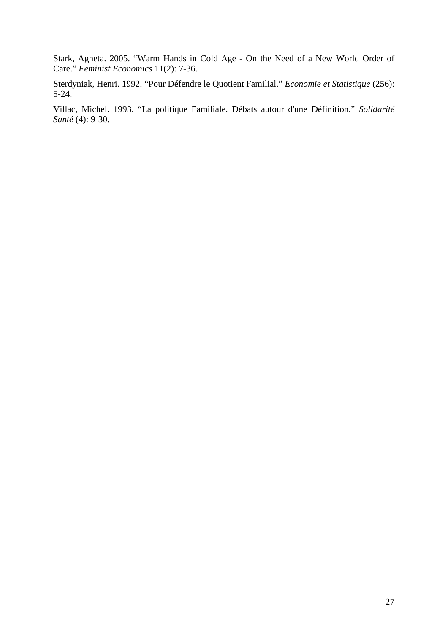Stark, Agneta. 2005. "Warm Hands in Cold Age - On the Need of a New World Order of Care." *Feminist Economics* 11(2): 7-36.

Sterdyniak, Henri. 1992. "Pour Défendre le Quotient Familial." *Economie et Statistique* (256): 5-24.

Villac, Michel. 1993. "La politique Familiale. Débats autour d'une Définition." *Solidarité Santé* (4): 9-30.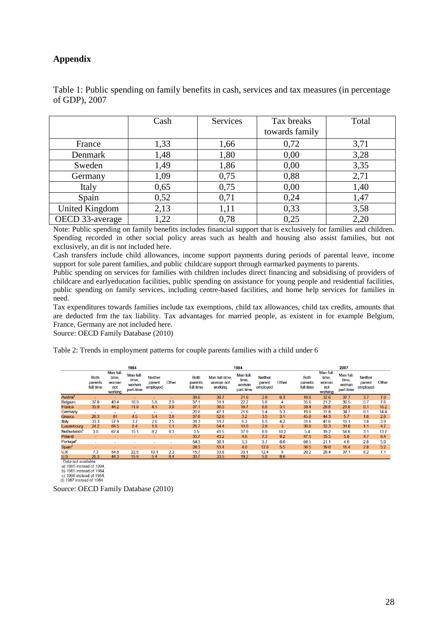#### **Appendix**

|                 | Cash | Services | Tax breaks     | Total |
|-----------------|------|----------|----------------|-------|
|                 |      |          | towards family |       |
| France          | 1,33 | 1,66     | 0,72           | 3,71  |
| Denmark         | 1,48 | 1,80     | 0,00           | 3,28  |
| Sweden          | 1,49 | 1,86     | 0,00           | 3,35  |
| Germany         | 1,09 | 0,75     | 0,88           | 2,71  |
| Italy           | 0,65 | 0,75     | 0,00           | 1,40  |
| Spain           | 0,52 | 0,71     | 0,24           | 1,47  |
| United Kingdom  | 2,13 | 1,11     | 0,33           | 3,58  |
| OECD 33-average | 1,22 | 0,78     | 0,25           | 2,20  |

Table 1: Public spending on family benefits in cash, services and tax measures (in percentage of GDP), 2007

Note: Public spending on family benefits includes financial support that is exclusively for families and children. Spending recorded in other social policy areas such as health and housing also assist families, but not exclusively, an dit is not included here.

Cash transfers include child allowances, income support payments during periods of parental leave, income support for sole parent families, and public childcare support through earmarked payments to parents.

Public spending on services for families with children includes direct financing and subsidising of providers of childcare and earlyeducation facilities, public spending on assistance for young people and residential facilities, public spending on family services, including centre-based facilities, and home help services for families in need.

Tax expenditures towards families include tax exemptions, child tax allowances, child tax credits, amounts that are deducted frm the tax liability. Tax advantages for married people, as existent in for example Belgium, France, Germany are not included here.

Source: OECD Family Database (2010)

Table 2: Trends in employment patterns for couple parents families with a child under 6

|                            |                                     |                                               | 1984                                     |                                      |       |                                     |                                        | 1994                                     |                                      |       |                                     |                                               | 2007                                     |                                      |       |
|----------------------------|-------------------------------------|-----------------------------------------------|------------------------------------------|--------------------------------------|-------|-------------------------------------|----------------------------------------|------------------------------------------|--------------------------------------|-------|-------------------------------------|-----------------------------------------------|------------------------------------------|--------------------------------------|-------|
|                            | <b>Both</b><br>parents<br>full-time | Man full-<br>time.<br>woman<br>not<br>working | Man full-<br>time,<br>woman<br>part-time | <b>Neither</b><br>parent<br>employed | Other | <b>Both</b><br>parents<br>full-time | Man full-time.<br>woman not<br>working | Man full-<br>time,<br>woman<br>part-time | <b>Neither</b><br>parent<br>employed | Other | <b>Both</b><br>parents<br>full-time | Man full-<br>time.<br>woman<br>not<br>working | Man full-<br>time,<br>woman<br>part-time | <b>Neither</b><br>parent<br>employed | Other |
| <b>Austria<sup>ª</sup></b> |                                     | ٠                                             |                                          |                                      |       | 38.6                                | 30.7                                   | 21.6                                     | 2.8                                  | 6.3   | 19.0                                | 32.6                                          | 37.7                                     | 3.7                                  | 7.0   |
| <b>Belgium</b>             | 37.0                                | 43.4                                          | 10.9                                     | 5.8                                  | 2.9   | 37.1                                | 31.1                                   | 22.2                                     | 5.6                                  | 4     | 35.0                                | 21.2                                          | 30.5                                     | 5.7                                  | 7.6   |
| France                     | 35.9                                | 44.2                                          | 11.9                                     | 4.1                                  | 3.9   | 37.1                                | 36.5                                   | 16.7                                     | 6.6                                  | 3.1   | 38.4                                | 29.6                                          | 21.8                                     | 0.1                                  | 10.2  |
| Germany                    | $\overline{\phantom{a}}$            | ۰                                             | ۰                                        | <b>.</b>                             | ۰     | 20.6                                | 47.1                                   | 21.6                                     | 5.4                                  | 5.3   | 19.0                                | 31.8                                          | 34.7                                     | 0.1                                  | 14.4  |
| Greece                     | 26.3                                | 61                                            | 4.5                                      | 5.4                                  | 2.8   | 37.6                                | 52.6                                   | 3.2                                      | 3.5                                  | 3.1   | 45.8                                | 44.3                                          | 5.7                                      | 1.6                                  | 2.6   |
| Italy                      | 33.3                                | 57.9                                          | 3.7                                      | 2.6                                  | 2.5   | 31.3                                | 51.7                                   | 6.3                                      | 6.5                                  | 4.2   | 31.6                                | 41.6                                          | 19.1                                     | 3.8                                  | 3.9   |
| Luxembourg                 | 24.2                                | 64.5                                          | 8.4                                      | 1.8                                  | 1.1   | 26.7                                | 54.4                                   | 13.0                                     | 2.9                                  | 3     | 30.9                                | 32.3                                          | 31.0                                     | 1.1                                  | 4.7   |
| Netherlands <sup>b</sup>   | 3.0                                 | 67.4                                          | 15.1                                     | 8.2                                  | 6.3   | 3.5                                 | 41.5                                   | 37.9                                     | 6.9                                  | 10.2  | 5.4                                 | 19.2                                          | 58.6                                     | 3.1                                  | 13.7  |
| Poland                     | ٠                                   | ٠                                             | ٠                                        | $\overline{\phantom{a}}$             | ٠     | 35.7                                | 43.2                                   | 4.6                                      | 7.3                                  | 9.2   | 47.5                                | 35.5                                          | 5.8                                      | 4.7                                  | 6.4   |
| Portugal <sup>o</sup>      | $\sim$                              | ٠                                             | ۰                                        | $\sim$                               | ٠     | 54.3                                | 30.1                                   | 5.3                                      | 3.7                                  | 6.6   | 66.5                                | 21.1                                          | 4.6                                      | 2.8                                  | 5.0   |
| Spain <sup>d</sup>         | -                                   | ۰                                             |                                          | <b>.</b>                             | ۰     | 24.3                                | 53.4                                   | 4.0                                      | 12.8                                 | 5.5   | 36.5                                | 39.0                                          | 16.4                                     | 2.8                                  | 5.2   |
| U.K                        | 7.3                                 | 54.8                                          | 22.5                                     | 13.1                                 | 2.3   | 15.7                                | 33.8                                   | 33.1                                     | 12.4                                 | 5     | 20.2                                | 29.4                                          | 37.1                                     | 6.2                                  | 7.1   |
| U.S.                       | 26.3                                | 44.3                                          | 15.6                                     | 5.4                                  | 8.4   | 33.7                                | 33.5                                   | 19.2                                     | 5.0                                  | 8.6   |                                     |                                               |                                          |                                      |       |

- Data not available<br>a) 1995 instead of 1994,

b) 1985 instead of 1984<br>c) 1985 instead of 1984<br>c) 1986 instead of 1984<br>d) 1987 instead of 1984

Source: OECD Family Database (2010)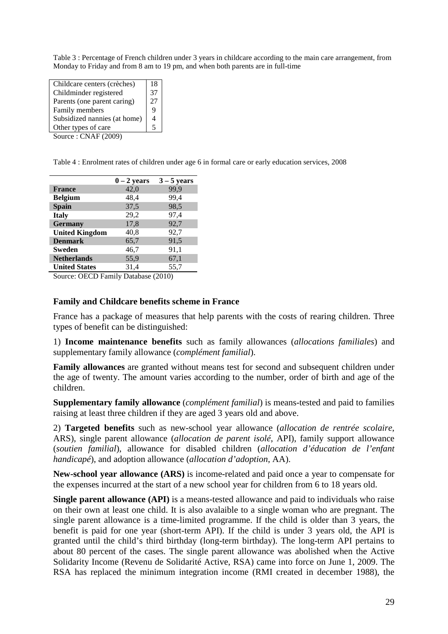Table 3 : Percentage of French children under 3 years in childcare according to the main care arrangement, from Monday to Friday and from 8 am to 19 pm, and when both parents are in full-time

| Childcare centers (crèches)                            | 18 |  |
|--------------------------------------------------------|----|--|
| Childminder registered                                 | 37 |  |
| Parents (one parent caring)                            | 27 |  |
| Family members                                         | 9  |  |
| Subsidized nannies (at home)                           |    |  |
| Other types of care                                    |    |  |
| $C_{\text{out}} \circ C_{\text{N}} \circ C_{\text{N}}$ |    |  |

Source : CNAF (2009)

Table 4 : Enrolment rates of children under age 6 in formal care or early education services, 2008

|                       | $0 - 2$ years | $3 - 5$ years |
|-----------------------|---------------|---------------|
| <b>France</b>         | 42,0          | 99,9          |
| <b>Belgium</b>        | 48,4          | 99,4          |
| <b>Spain</b>          | 37,5          | 98,5          |
| <b>Italy</b>          | 29,2          | 97,4          |
| <b>Germany</b>        | 17,8          | 92,7          |
| <b>United Kingdom</b> | 40,8          | 92,7          |
| <b>Denmark</b>        | 65,7          | 91,5          |
| Sweden                | 46,7          | 91,1          |
| <b>Netherlands</b>    | 55,9          | 67,1          |
| <b>United States</b>  | 31,4          | 55,7          |

Source: OECD Family Database (2010)

#### **Family and Childcare benefits scheme in France**

France has a package of measures that help parents with the costs of rearing children. Three types of benefit can be distinguished:

1) **Income maintenance benefits** such as family allowances (*allocations familiales*) and supplementary family allowance (*complément familial*).

**Family allowances** are granted without means test for second and subsequent children under the age of twenty. The amount varies according to the number, order of birth and age of the children.

**Supplementary family allowance** (*complément familial*) is means-tested and paid to families raising at least three children if they are aged 3 years old and above.

2) **Targeted benefits** such as new-school year allowance (*allocation de rentrée scolaire*, ARS), single parent allowance (*allocation de parent isolé*, API), family support allowance (*soutien familial*), allowance for disabled children (*allocation d'éducation de l'enfant handicapé*), and adoption allowance (*allocation d'adoption*, AA).

**New-school year allowance (ARS)** is income-related and paid once a year to compensate for the expenses incurred at the start of a new school year for children from 6 to 18 years old.

**Single parent allowance (API)** is a means-tested allowance and paid to individuals who raise on their own at least one child. It is also avalaible to a single woman who are pregnant. The single parent allowance is a time-limited programme. If the child is older than 3 years, the benefit is paid for one year (short-term API). If the child is under 3 years old, the API is granted until the child's third birthday (long-term birthday). The long-term API pertains to about 80 percent of the cases. The single parent allowance was abolished when the Active Solidarity Income (Revenu de Solidarité Active, RSA) came into force on June 1, 2009. The RSA has replaced the minimum integration income (RMI created in december 1988), the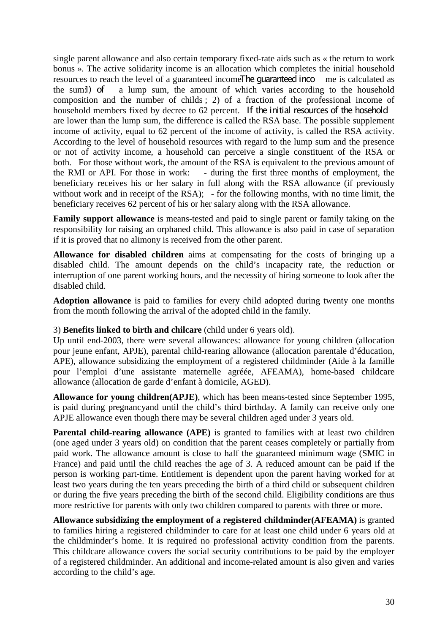single parent allowance and also certain temporary fixed-rate aids such as « the return to work bonus ». The active solidarity income is an allocation which completes the initial household resources to reach the level of a guaranteed income. The quaranteed income is calculated as the sum:1) of a lump sum, the amount of which varies according to the household composition and the number of childs ; 2) of a fraction of the professional income of household members fixed by decree to 62 percent. If the initial resources of the hosehold are lower than the lump sum, the difference is called the RSA base. The possible supplement income of activity, equal to 62 percent of the income of activity, is called the RSA activity. According to the level of household resources with regard to the lump sum and the presence or not of activity income, a household can perceive a single constituent of the RSA or both. For those without work, the amount of the RSA is equivalent to the previous amount of the RMI or API. For those in work: - during the first three months of employment. the - during the first three months of employment, the beneficiary receives his or her salary in full along with the RSA allowance (if previously without work and in receipt of the RSA); - for the following months, with no time limit, the beneficiary receives 62 percent of his or her salary along with the RSA allowance.

**Family support allowance** is means-tested and paid to single parent or family taking on the responsibility for raising an orphaned child. This allowance is also paid in case of separation if it is proved that no alimony is received from the other parent.

**Allowance for disabled children** aims at compensating for the costs of bringing up a disabled child. The amount depends on the child's incapacity rate, the reduction or interruption of one parent working hours, and the necessity of hiring someone to look after the disabled child.

**Adoption allowance** is paid to families for every child adopted during twenty one months from the month following the arrival of the adopted child in the family.

#### 3) **Benefits linked to birth and chilcare** (child under 6 years old).

Up until end-2003, there were several allowances: allowance for young children (allocation pour jeune enfant, APJE), parental child-rearing allowance (allocation parentale d'éducation, APE), allowance subsidizing the employment of a registered childminder (Aide à la famille pour l'emploi d'une assistante maternelle agréée, AFEAMA), home-based childcare allowance (allocation de garde d'enfant à domicile, AGED).

**Allowance for young children(APJE)**, which has been means-tested since September 1995, is paid during pregnancyand until the child's third birthday. A family can receive only one APJE allowance even though there may be several children aged under 3 years old.

**Parental child-rearing allowance (APE)** is granted to families with at least two children (one aged under 3 years old) on condition that the parent ceases completely or partially from paid work. The allowance amount is close to half the guaranteed minimum wage (SMIC in France) and paid until the child reaches the age of 3. A reduced amount can be paid if the person is working part-time. Entitlement is dependent upon the parent having worked for at least two years during the ten years preceding the birth of a third child or subsequent children or during the five years preceding the birth of the second child. Eligibility conditions are thus more restrictive for parents with only two children compared to parents with three or more.

**Allowance subsidizing the employment of a registered childminder(AFEAMA)** is granted to families hiring a registered childminder to care for at least one child under 6 years old at the childminder's home. It is required no professional activity condition from the parents. This childcare allowance covers the social security contributions to be paid by the employer of a registered childminder. An additional and income-related amount is also given and varies according to the child's age.